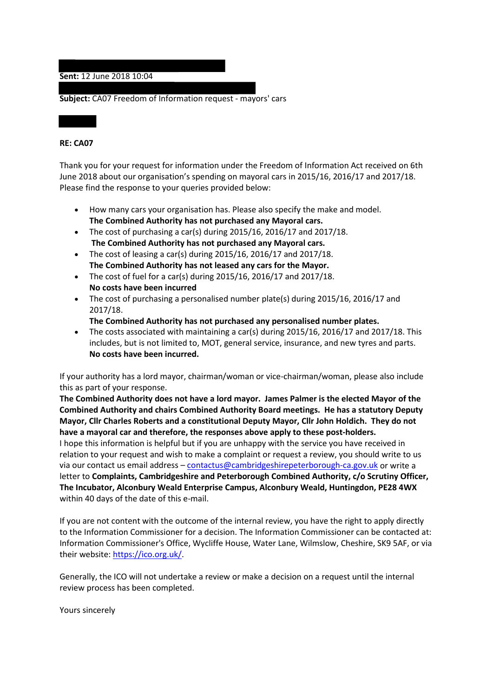## **Sent:** 12 June 2018 10:04

**Subject:** CA07 Freedom of Information request - mayors' cars

## **RE: CA07**

Thank you for your request for information under the Freedom of Information Act received on 6th June 2018 about our organisation's spending on mayoral cars in 2015/16, 2016/17 and 2017/18. Please find the response to your queries provided below:

- How many cars your organisation has. Please also specify the make and model. **The Combined Authority has not purchased any Mayoral cars.**
- The cost of purchasing a car(s) during 2015/16, 2016/17 and 2017/18. **The Combined Authority has not purchased any Mayoral cars.**
- The cost of leasing a car(s) during  $2015/16$ ,  $2016/17$  and  $2017/18$ . **The Combined Authority has not leased any cars for the Mayor.**
- The cost of fuel for a car(s) during  $2015/16$ ,  $2016/17$  and  $2017/18$ . **No costs have been incurred**
- The cost of purchasing a personalised number plate(s) during 2015/16, 2016/17 and 2017/18.
	- **The Combined Authority has not purchased any personalised number plates.**
- The costs associated with maintaining a car(s) during 2015/16, 2016/17 and 2017/18. This includes, but is not limited to, MOT, general service, insurance, and new tyres and parts. **No costs have been incurred.**

If your authority has a lord mayor, chairman/woman or vice-chairman/woman, please also include this as part of your response.

**The Combined Authority does not have a lord mayor. James Palmer is the elected Mayor of the Combined Authority and chairs Combined Authority Board meetings. He has a statutory Deputy Mayor, Cllr Charles Roberts and a constitutional Deputy Mayor, Cllr John Holdich. They do not have a mayoral car and therefore, the responses above apply to these post-holders.**

I hope this information is helpful but if you are unhappy with the service you have received in relation to your request and wish to make a complaint or request a review, you should write to us via our contact us email address - [contactus@cambridgeshirepeterborough-ca.gov.uk](mailto:contactus@cambridgeshirepeterborough-ca.gov.uk) or write a letter to **Complaints, Cambridgeshire and Peterborough Combined Authority, c/o Scrutiny Officer, The Incubator, Alconbury Weald Enterprise Campus, Alconbury Weald, Huntingdon, PE28 4WX** within 40 days of the date of this e-mail.

If you are not content with the outcome of the internal review, you have the right to apply directly to the Information Commissioner for a decision. The Information Commissioner can be contacted at: Information Commissioner's Office, Wycliffe House, Water Lane, Wilmslow, Cheshire, SK9 5AF, or via their website: [https://ico.org.uk/.](https://ico.org.uk/)

Generally, the ICO will not undertake a review or make a decision on a request until the internal review process has been completed.

Yours sincerely